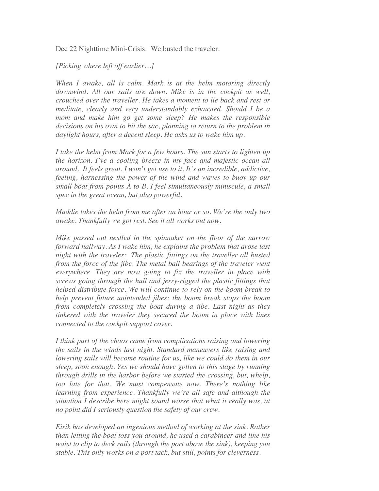Dec 22 Nighttime Mini-Crisis: We busted the traveler.

## *[Picking where left off earlier…]*

*When I awake, all is calm. Mark is at the helm motoring directly downwind. All our sails are down. Mike is in the cockpit as well, crouched over the traveller. He takes a moment to lie back and rest or meditate, clearly and very understandably exhausted. Should I be a mom and make him go get some sleep? He makes the responsible*  decisions on his own to hit the sac, planning to return to the problem in *daylight hours, after a decent sleep. He asks us to wake him up.*

*I take the helm from Mark for a few hours. The sun starts to lighten up the horizon. I've a cooling breeze in my face and majestic ocean all around. It feels great. I won't get use to it. It's an incredible, addictive, feeling, harnessing the power of the wind and waves to buoy up our small boat from points A to B. I feel simultaneously miniscule, a small spec in the great ocean, but also powerful.*

*Maddie takes the helm from me after an hour or so. We're the only two awake. Thankfully we got rest. See it all works out now.*

*Mike passed out nestled in the spinnaker on the floor of the narrow forward hallway. As I wake him, he explains the problem that arose last night with the traveler: The plastic fittings on the traveller all busted from the force of the jibe. The metal ball bearings of the traveler went everywhere. They are now going to fix the traveller in place with screws going through the hull and jerry-rigged the plastic fittings that helped distribute force. We will continue to rely on the boom break to help prevent future unintended jibes; the boom break stops the boom from completely crossing the boat during a jibe. Last night as they tinkered with the traveler they secured the boom in place with lines connected to the cockpit support cover.*

*I think part of the chaos came from complications raising and lowering the sails in the winds last night. Standard maneuvers like raising and lowering sails will become routine for us, like we could do them in our sleep, soon enough. Yes we should have gotten to this stage by running through drills in the harbor before we started the crossing, but, whelp, too late for that. We must compensate now. There's nothing like learning from experience. Thankfully we're all safe and although the situation I describe here might sound worse that what it really was, at no point did I seriously question the safety of our crew.*

*Eirik has developed an ingenious method of working at the sink. Rather than letting the boat toss you around, he used a carabineer and line his waist to clip to deck rails (through the port above the sink), keeping you stable. This only works on a port tack, but still, points for cleverness.*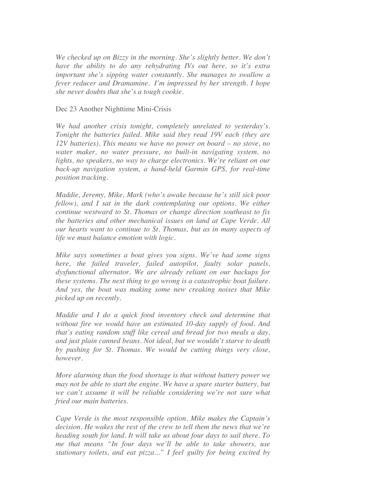*We checked up on Bizzy in the morning. She's slightly better. We don't have the ability to do any rehydrating IVs out here, so it's extra important she's sipping water constantly. She manages to swallow a fever reducer and Dramamine. I'm impressed by her strength. I hope she never doubts that she's a tough cookie.*

## Dec 23 Another Nighttime Mini-Crisis

*We had another crisis tonight, completely unrelated to yesterday's. Tonight the batteries failed. Mike said they read 19V each (they are 12V batteries). This means we have no power on board – no stove, no water maker, no water pressure, no built-in navigating system, no lights, no speakers, no way to charge electronics. We're reliant on our back-up navigation system, a hand-held Garmin GPS, for real-time position tracking.*

*Maddie, Jeremy, Mike, Mark (who's awake because he's still sick poor fellow*), and I sat in the dark contemplating our options. We either *continue westward to St. Thomas or change direction southeast to fix the batteries and other mechanical issues on land at Cape Verde. All our hearts want to continue to St. Thomas, but as in many aspects of life we must balance emotion with logic.*

*Mike says sometimes a boat gives you signs. We've had some signs here, the failed traveler, failed autopilot, faulty solar panels, dysfunctional alternator. We are already reliant on our backups for these systems. The next thing to go wrong is a catastrophic boat failure. And yes, the boat was making some new creaking noises that Mike picked up on recently.*

*Maddie and I do a quick food inventory check and determine that without fire we would have an estimated 10-day supply of food. And that's eating random stuff like cereal and bread for two meals a day, and just plain canned beans. Not ideal, but we wouldn't starve to death by pushing for St. Thomas. We would be cutting things very close, however.*

*More alarming than the food shortage is that without battery power we may not be able to start the engine. We have a spare starter battery, but we can't assume it will be reliable considering we're not sure what fried our main batteries.*

*Cape Verde is the most responsible option. Mike makes the Captain's decision. He wakes the rest of the crew to tell them the news that we're heading south for land. It will take us about four days to sail there. To me that means "In four days we'll be able to take showers, use stationary toilets, and eat pizza..." I feel guilty for being excited by*